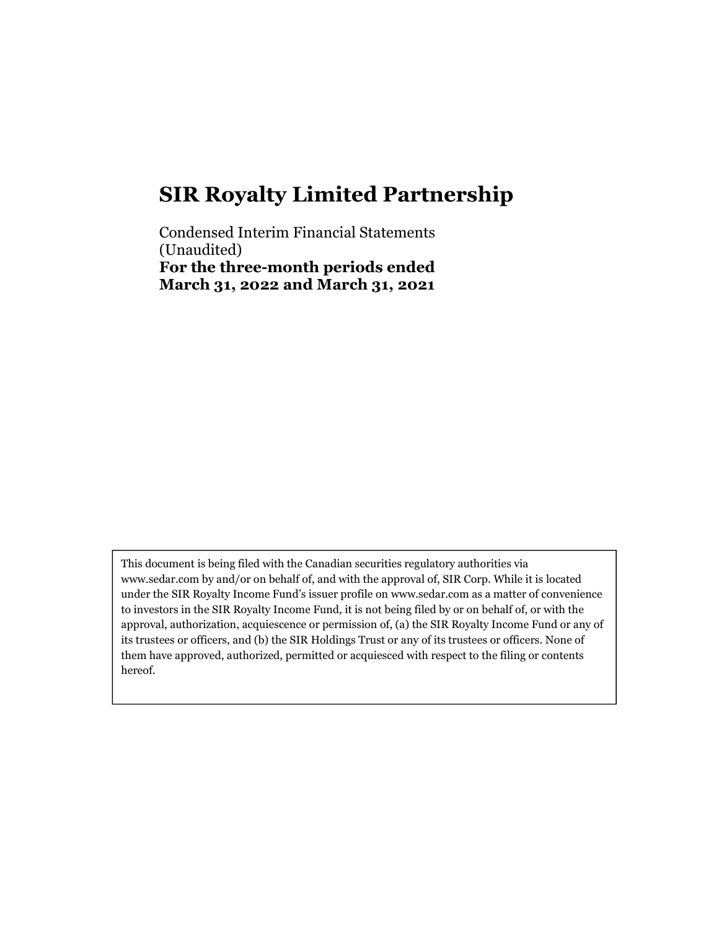Condensed Interim Financial Statements (Unaudited) For the three-month periods ended March 31, 2022 and March 31, 2021

This document is being filed with the Canadian securities regulatory authorities via www.sedar.com by and/or on behalf of, and with the approval of, SIR Corp. While it is located under the SIR Royalty Income Fund's issuer profile on www.sedar.com as a matter of convenience to investors in the SIR Royalty Income Fund, it is not being filed by or on behalf of, or with the approval, authorization, acquiescence or permission of, (a) the SIR Royalty Income Fund or any of its trustees or officers, and (b) the SIR Holdings Trust or any of its trustees or officers. None of them have approved, authorized, permitted or acquiesced with respect to the filing or contents hereof.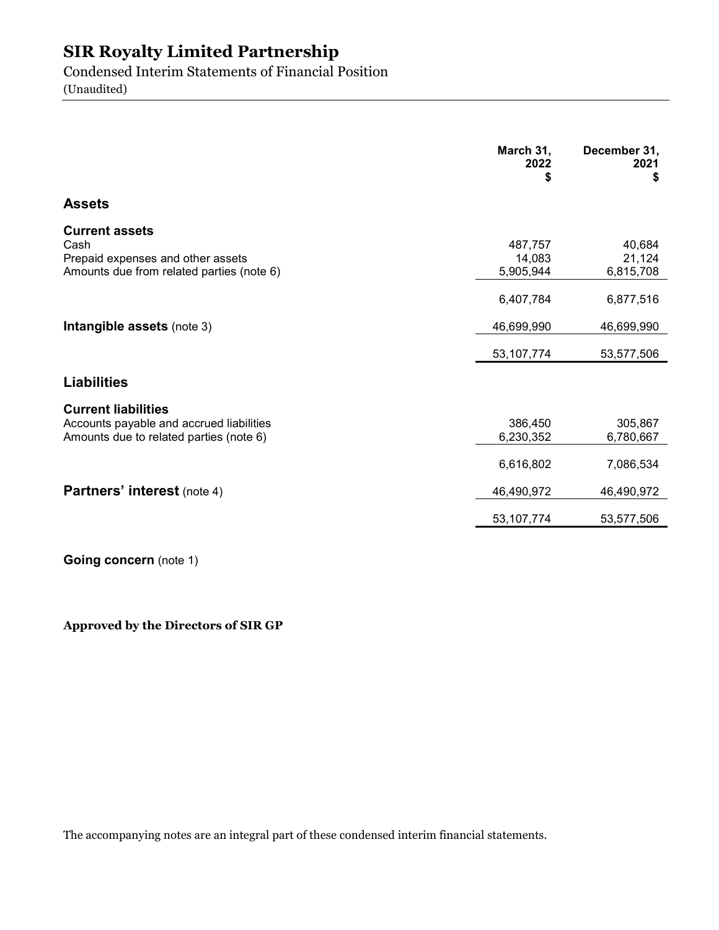Condensed Interim Statements of Financial Position

(Unaudited)

|                                                                                                                   | March 31,<br>2022<br>\$        | December 31,<br>2021<br>\$    |
|-------------------------------------------------------------------------------------------------------------------|--------------------------------|-------------------------------|
| <b>Assets</b>                                                                                                     |                                |                               |
| <b>Current assets</b><br>Cash<br>Prepaid expenses and other assets<br>Amounts due from related parties (note 6)   | 487,757<br>14,083<br>5,905,944 | 40,684<br>21,124<br>6,815,708 |
|                                                                                                                   | 6,407,784                      | 6,877,516                     |
| Intangible assets (note 3)                                                                                        | 46,699,990                     | 46,699,990                    |
|                                                                                                                   | 53, 107, 774                   | 53,577,506                    |
| <b>Liabilities</b>                                                                                                |                                |                               |
| <b>Current liabilities</b><br>Accounts payable and accrued liabilities<br>Amounts due to related parties (note 6) | 386,450<br>6,230,352           | 305,867<br>6,780,667          |
|                                                                                                                   | 6,616,802                      | 7,086,534                     |
| <b>Partners' interest (note 4)</b>                                                                                | 46,490,972                     | 46,490,972                    |
|                                                                                                                   | 53, 107, 774                   | 53,577,506                    |

Going concern (note 1)

Approved by the Directors of SIR GP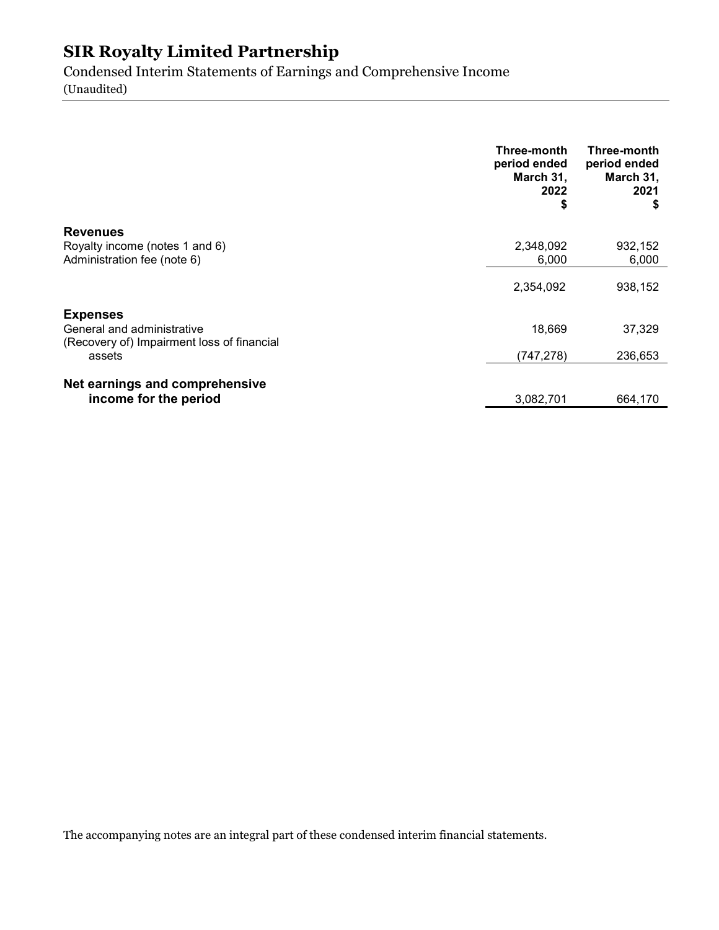Condensed Interim Statements of Earnings and Comprehensive Income (Unaudited)

|                                                                          | Three-month<br>period ended<br>March 31,<br>2022<br>\$ | Three-month<br>period ended<br>March 31,<br>2021<br>S |
|--------------------------------------------------------------------------|--------------------------------------------------------|-------------------------------------------------------|
| <b>Revenues</b>                                                          |                                                        |                                                       |
| Royalty income (notes 1 and 6)<br>Administration fee (note 6)            | 2,348,092<br>6,000                                     | 932,152<br>6,000                                      |
|                                                                          | 2,354,092                                              | 938,152                                               |
| <b>Expenses</b>                                                          |                                                        |                                                       |
| General and administrative<br>(Recovery of) Impairment loss of financial | 18,669                                                 | 37,329                                                |
| assets                                                                   | (747, 278)                                             | 236,653                                               |
| Net earnings and comprehensive                                           |                                                        |                                                       |
| income for the period                                                    | 3,082,701                                              | 664.170                                               |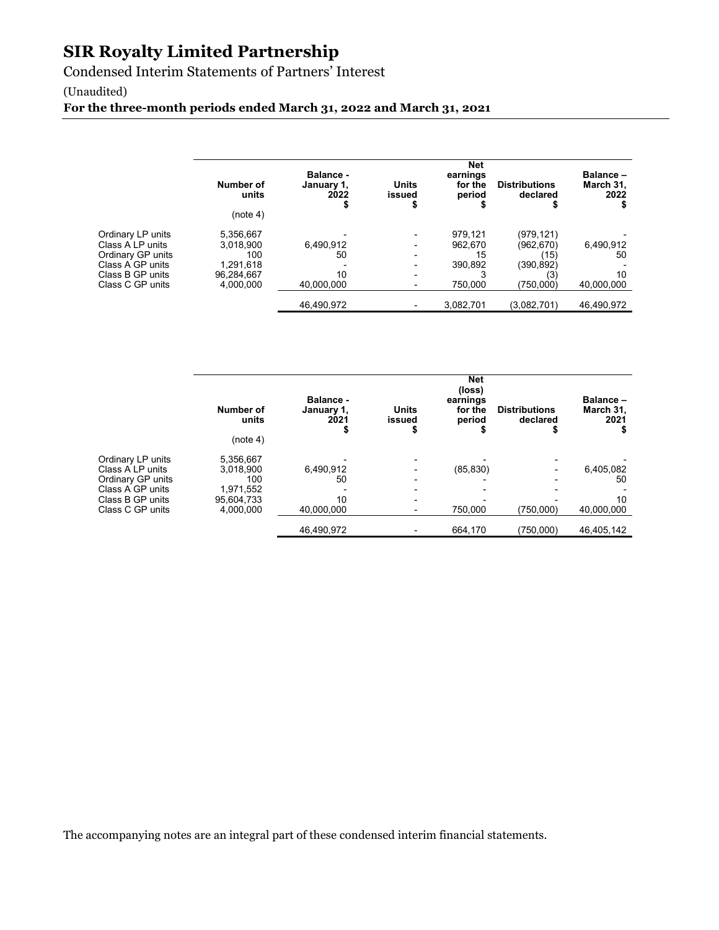Condensed Interim Statements of Partners' Interest

#### (Unaudited)

For the three-month periods ended March 31, 2022 and March 31, 2021

|                   | Number of<br>units<br>(note 4) | <b>Balance -</b><br>January 1,<br>2022 | <b>Units</b><br>issued | <b>Net</b><br>earnings<br>for the<br>period | <b>Distributions</b><br>declared | <b>Balance-</b><br>March 31,<br>2022 |
|-------------------|--------------------------------|----------------------------------------|------------------------|---------------------------------------------|----------------------------------|--------------------------------------|
| Ordinary LP units | 5,356,667                      |                                        |                        | 979,121                                     | (979,121)                        |                                      |
| Class A LP units  | 3.018.900                      | 6,490,912                              |                        | 962.670                                     | (962,670)                        | 6,490,912                            |
| Ordinary GP units | 100                            | 50                                     |                        | 15                                          | (15)                             | 50                                   |
| Class A GP units  | 1.291.618                      |                                        |                        | 390.892                                     | (390,892)                        |                                      |
| Class B GP units  | 96.284.667                     | 10                                     |                        |                                             | (3)                              | 10                                   |
| Class C GP units  | 4.000.000                      | 40.000.000                             |                        | 750.000                                     | (750,000)                        | 40.000.000                           |
|                   |                                | 46,490,972                             |                        | 3,082,701                                   | (3,082,701)                      | 46,490,972                           |

|                                       | Number of<br>units<br>(note 4) | <b>Balance -</b><br>January 1,<br>2021 | <b>Units</b><br>issued | <b>Net</b><br>(loss)<br>earnings<br>for the<br>period | <b>Distributions</b><br>declared | Balance-<br>March 31,<br>2021 |
|---------------------------------------|--------------------------------|----------------------------------------|------------------------|-------------------------------------------------------|----------------------------------|-------------------------------|
| Ordinary LP units<br>Class A LP units | 5.356.667<br>3.018.900         | 6,490,912                              |                        | (85, 830)                                             | $\overline{\phantom{0}}$         | 6,405,082                     |
| Ordinary GP units                     | 100                            | 50                                     |                        |                                                       | $\blacksquare$                   | 50                            |
| Class A GP units                      | 1.971.552                      |                                        |                        |                                                       |                                  |                               |
| Class B GP units                      | 95.604.733                     | 10                                     |                        |                                                       |                                  | 10                            |
| Class C GP units                      | 4,000,000                      | 40,000,000                             |                        | 750.000                                               | (750.000)                        | 40,000,000                    |
|                                       |                                | 46,490,972                             |                        | 664.170                                               | (750,000)                        | 46,405,142                    |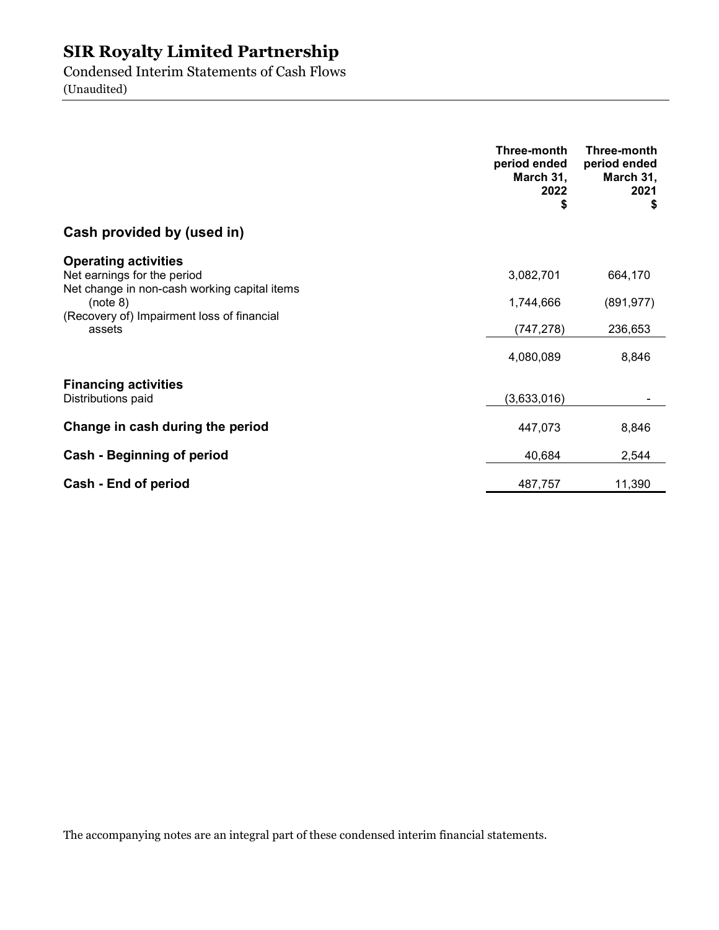Condensed Interim Statements of Cash Flows (Unaudited)

|                                                                                                                        | Three-month<br>period ended<br>March 31,<br>2022<br>\$ | Three-month<br>period ended<br>March 31,<br>2021<br>\$ |
|------------------------------------------------------------------------------------------------------------------------|--------------------------------------------------------|--------------------------------------------------------|
| Cash provided by (used in)                                                                                             |                                                        |                                                        |
| <b>Operating activities</b><br>Net earnings for the period<br>Net change in non-cash working capital items<br>(note 8) | 3,082,701<br>1,744,666                                 | 664,170<br>(891, 977)                                  |
| (Recovery of) Impairment loss of financial<br>assets                                                                   | (747, 278)                                             | 236,653                                                |
|                                                                                                                        | 4,080,089                                              | 8,846                                                  |
| <b>Financing activities</b><br>Distributions paid                                                                      | (3,633,016)                                            |                                                        |
| Change in cash during the period                                                                                       | 447,073                                                | 8,846                                                  |
| <b>Cash - Beginning of period</b>                                                                                      | 40,684                                                 | 2,544                                                  |
| Cash - End of period                                                                                                   | 487,757                                                | 11,390                                                 |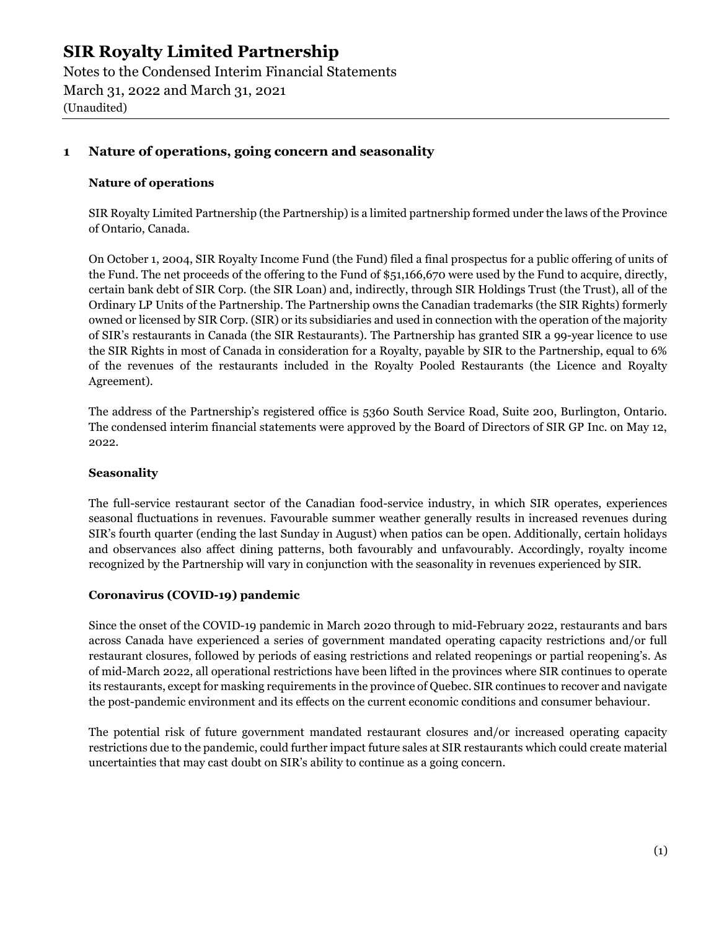Notes to the Condensed Interim Financial Statements March 31, 2022 and March 31, 2021 (Unaudited)

#### 1 Nature of operations, going concern and seasonality

#### Nature of operations

SIR Royalty Limited Partnership (the Partnership) is a limited partnership formed under the laws of the Province of Ontario, Canada.

On October 1, 2004, SIR Royalty Income Fund (the Fund) filed a final prospectus for a public offering of units of the Fund. The net proceeds of the offering to the Fund of \$51,166,670 were used by the Fund to acquire, directly, certain bank debt of SIR Corp. (the SIR Loan) and, indirectly, through SIR Holdings Trust (the Trust), all of the Ordinary LP Units of the Partnership. The Partnership owns the Canadian trademarks (the SIR Rights) formerly owned or licensed by SIR Corp. (SIR) or its subsidiaries and used in connection with the operation of the majority of SIR's restaurants in Canada (the SIR Restaurants). The Partnership has granted SIR a 99-year licence to use the SIR Rights in most of Canada in consideration for a Royalty, payable by SIR to the Partnership, equal to 6% of the revenues of the restaurants included in the Royalty Pooled Restaurants (the Licence and Royalty Agreement).

The address of the Partnership's registered office is 5360 South Service Road, Suite 200, Burlington, Ontario. The condensed interim financial statements were approved by the Board of Directors of SIR GP Inc. on May 12, 2022.

#### **Seasonality**

The full-service restaurant sector of the Canadian food-service industry, in which SIR operates, experiences seasonal fluctuations in revenues. Favourable summer weather generally results in increased revenues during SIR's fourth quarter (ending the last Sunday in August) when patios can be open. Additionally, certain holidays and observances also affect dining patterns, both favourably and unfavourably. Accordingly, royalty income recognized by the Partnership will vary in conjunction with the seasonality in revenues experienced by SIR.

#### Coronavirus (COVID-19) pandemic

Since the onset of the COVID-19 pandemic in March 2020 through to mid-February 2022, restaurants and bars across Canada have experienced a series of government mandated operating capacity restrictions and/or full restaurant closures, followed by periods of easing restrictions and related reopenings or partial reopening's. As of mid-March 2022, all operational restrictions have been lifted in the provinces where SIR continues to operate its restaurants, except for masking requirements in the province of Quebec. SIR continues to recover and navigate the post-pandemic environment and its effects on the current economic conditions and consumer behaviour.

The potential risk of future government mandated restaurant closures and/or increased operating capacity restrictions due to the pandemic, could further impact future sales at SIR restaurants which could create material uncertainties that may cast doubt on SIR's ability to continue as a going concern.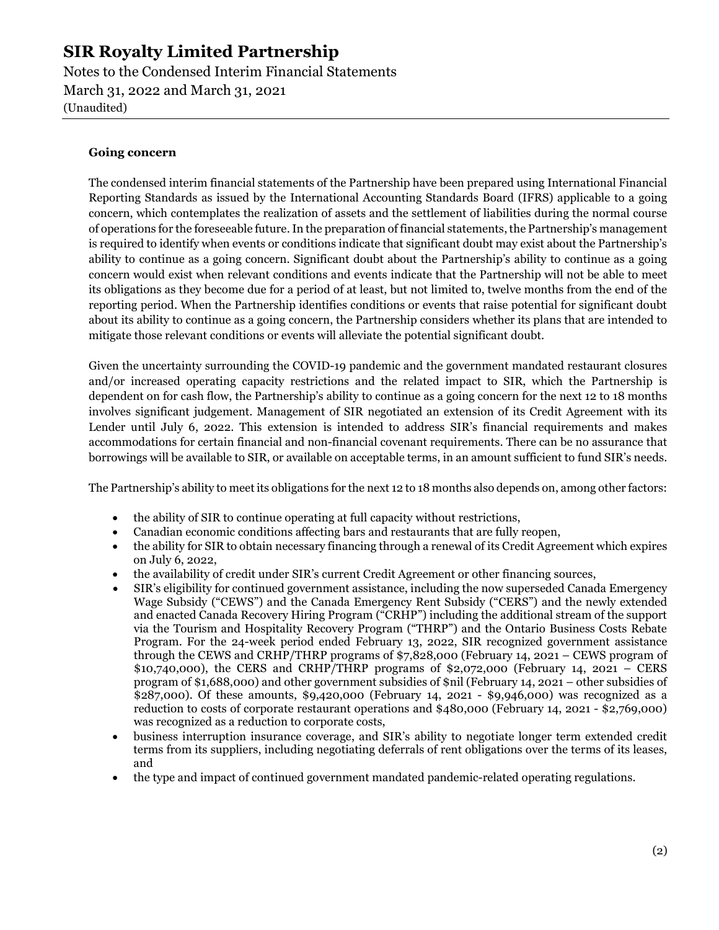Notes to the Condensed Interim Financial Statements March 31, 2022 and March 31, 2021 (Unaudited)

#### Going concern

The condensed interim financial statements of the Partnership have been prepared using International Financial Reporting Standards as issued by the International Accounting Standards Board (IFRS) applicable to a going concern, which contemplates the realization of assets and the settlement of liabilities during the normal course of operations for the foreseeable future. In the preparation of financial statements, the Partnership's management is required to identify when events or conditions indicate that significant doubt may exist about the Partnership's ability to continue as a going concern. Significant doubt about the Partnership's ability to continue as a going concern would exist when relevant conditions and events indicate that the Partnership will not be able to meet its obligations as they become due for a period of at least, but not limited to, twelve months from the end of the reporting period. When the Partnership identifies conditions or events that raise potential for significant doubt about its ability to continue as a going concern, the Partnership considers whether its plans that are intended to mitigate those relevant conditions or events will alleviate the potential significant doubt.

Given the uncertainty surrounding the COVID-19 pandemic and the government mandated restaurant closures and/or increased operating capacity restrictions and the related impact to SIR, which the Partnership is dependent on for cash flow, the Partnership's ability to continue as a going concern for the next 12 to 18 months involves significant judgement. Management of SIR negotiated an extension of its Credit Agreement with its Lender until July 6, 2022. This extension is intended to address SIR's financial requirements and makes accommodations for certain financial and non-financial covenant requirements. There can be no assurance that borrowings will be available to SIR, or available on acceptable terms, in an amount sufficient to fund SIR's needs.

The Partnership's ability to meet its obligations for the next 12 to 18 months also depends on, among other factors:

- the ability of SIR to continue operating at full capacity without restrictions,
- Canadian economic conditions affecting bars and restaurants that are fully reopen,
- the ability for SIR to obtain necessary financing through a renewal of its Credit Agreement which expires on July 6, 2022,
- the availability of credit under SIR's current Credit Agreement or other financing sources,
- SIR's eligibility for continued government assistance, including the now superseded Canada Emergency Wage Subsidy ("CEWS") and the Canada Emergency Rent Subsidy ("CERS") and the newly extended and enacted Canada Recovery Hiring Program ("CRHP") including the additional stream of the support via the Tourism and Hospitality Recovery Program ("THRP") and the Ontario Business Costs Rebate Program. For the 24-week period ended February 13, 2022, SIR recognized government assistance through the CEWS and CRHP/THRP programs of \$7,828,000 (February 14, 2021 – CEWS program of \$10,740,000), the CERS and CRHP/THRP programs of \$2,072,000 (February 14, 2021 – CERS program of \$1,688,000) and other government subsidies of \$nil (February 14, 2021 – other subsidies of \$287,000). Of these amounts, \$9,420,000 (February 14, 2021 - \$9,946,000) was recognized as a reduction to costs of corporate restaurant operations and \$480,000 (February 14, 2021 - \$2,769,000) was recognized as a reduction to corporate costs,
- business interruption insurance coverage, and SIR's ability to negotiate longer term extended credit terms from its suppliers, including negotiating deferrals of rent obligations over the terms of its leases, and
- the type and impact of continued government mandated pandemic-related operating regulations.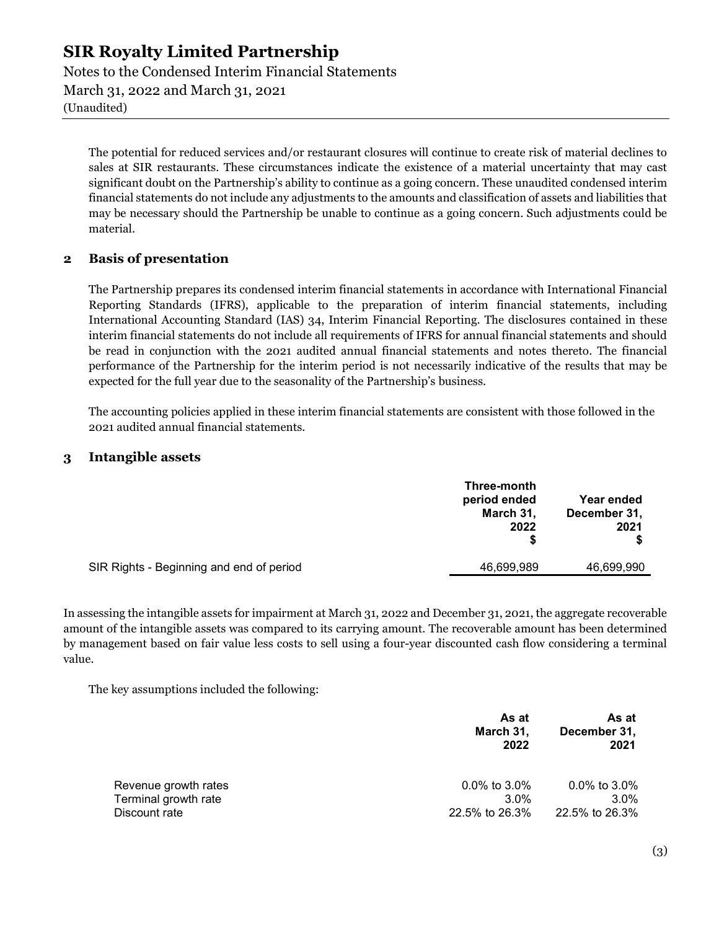Notes to the Condensed Interim Financial Statements March 31, 2022 and March 31, 2021 (Unaudited)

The potential for reduced services and/or restaurant closures will continue to create risk of material declines to sales at SIR restaurants. These circumstances indicate the existence of a material uncertainty that may cast significant doubt on the Partnership's ability to continue as a going concern. These unaudited condensed interim financial statements do not include any adjustments to the amounts and classification of assets and liabilities that may be necessary should the Partnership be unable to continue as a going concern. Such adjustments could be material.

#### 2 Basis of presentation

The Partnership prepares its condensed interim financial statements in accordance with International Financial Reporting Standards (IFRS), applicable to the preparation of interim financial statements, including International Accounting Standard (IAS) 34, Interim Financial Reporting. The disclosures contained in these interim financial statements do not include all requirements of IFRS for annual financial statements and should be read in conjunction with the 2021 audited annual financial statements and notes thereto. The financial performance of the Partnership for the interim period is not necessarily indicative of the results that may be expected for the full year due to the seasonality of the Partnership's business.

The accounting policies applied in these interim financial statements are consistent with those followed in the 2021 audited annual financial statements.

#### 3 Intangible assets

|                                          | Three-month<br>period ended<br>March 31,<br>2022 | <b>Year ended</b><br>December 31,<br>2021 |
|------------------------------------------|--------------------------------------------------|-------------------------------------------|
| SIR Rights - Beginning and end of period | 46,699,989                                       | 46,699,990                                |

In assessing the intangible assets for impairment at March 31, 2022 and December 31, 2021, the aggregate recoverable amount of the intangible assets was compared to its carrying amount. The recoverable amount has been determined by management based on fair value less costs to sell using a four-year discounted cash flow considering a terminal value.

The key assumptions included the following:

|                      | As at<br>March 31,<br>2022 | As at<br>December 31,<br>2021 |
|----------------------|----------------------------|-------------------------------|
| Revenue growth rates | $0.0\%$ to 3.0%            | $0.0\%$ to 3.0%               |
| Terminal growth rate | $3.0\%$                    | $3.0\%$                       |
| Discount rate        | 22.5% to 26.3%             | 22.5% to 26.3%                |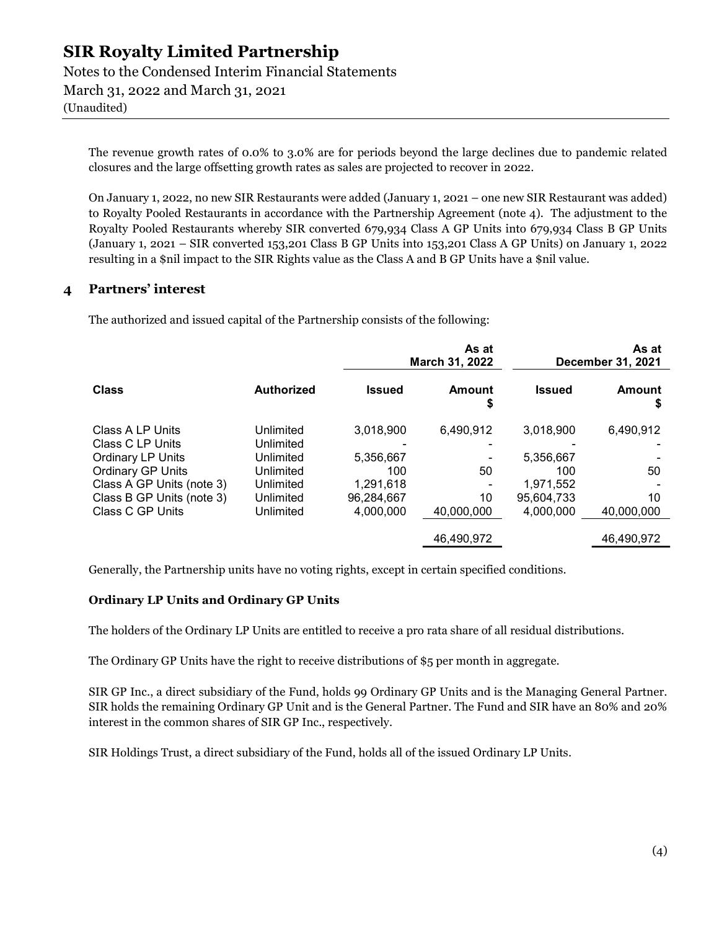Notes to the Condensed Interim Financial Statements March 31, 2022 and March 31, 2021 (Unaudited)

The revenue growth rates of 0.0% to 3.0% are for periods beyond the large declines due to pandemic related closures and the large offsetting growth rates as sales are projected to recover in 2022.

On January 1, 2022, no new SIR Restaurants were added (January 1, 2021 – one new SIR Restaurant was added) to Royalty Pooled Restaurants in accordance with the Partnership Agreement (note 4). The adjustment to the Royalty Pooled Restaurants whereby SIR converted 679,934 Class A GP Units into 679,934 Class B GP Units (January 1, 2021 – SIR converted 153,201 Class B GP Units into 153,201 Class A GP Units) on January 1, 2022 resulting in a \$nil impact to the SIR Rights value as the Class A and B GP Units have a \$nil value.

#### 4 Partners' interest

The authorized and issued capital of the Partnership consists of the following:

|                                      |                        | As at<br>March 31, 2022 |             |               | As at<br>December 31, 2021 |
|--------------------------------------|------------------------|-------------------------|-------------|---------------|----------------------------|
| <b>Class</b>                         | <b>Authorized</b>      | <b>Issued</b>           | Amount<br>S | <b>Issued</b> | Amount<br>\$               |
| Class A LP Units<br>Class C LP Units | Unlimited<br>Unlimited | 3,018,900               | 6,490,912   | 3,018,900     | 6,490,912                  |
| Ordinary LP Units                    | Unlimited              | 5,356,667               |             | 5,356,667     |                            |
| Ordinary GP Units                    | Unlimited              | 100                     | 50          | 100           | 50                         |
| Class A GP Units (note 3)            | Unlimited              | 1,291,618               |             | 1,971,552     |                            |
| Class B GP Units (note 3)            | Unlimited              | 96.284.667              | 10          | 95.604.733    | 10                         |
| Class C GP Units                     | Unlimited              | 4.000.000               | 40.000.000  | 4.000.000     | 40.000.000                 |
|                                      |                        |                         | 46,490,972  |               | 46,490,972                 |

Generally, the Partnership units have no voting rights, except in certain specified conditions.

#### Ordinary LP Units and Ordinary GP Units

The holders of the Ordinary LP Units are entitled to receive a pro rata share of all residual distributions.

The Ordinary GP Units have the right to receive distributions of \$5 per month in aggregate.

SIR GP Inc., a direct subsidiary of the Fund, holds 99 Ordinary GP Units and is the Managing General Partner. SIR holds the remaining Ordinary GP Unit and is the General Partner. The Fund and SIR have an 80% and 20% interest in the common shares of SIR GP Inc., respectively.

SIR Holdings Trust, a direct subsidiary of the Fund, holds all of the issued Ordinary LP Units.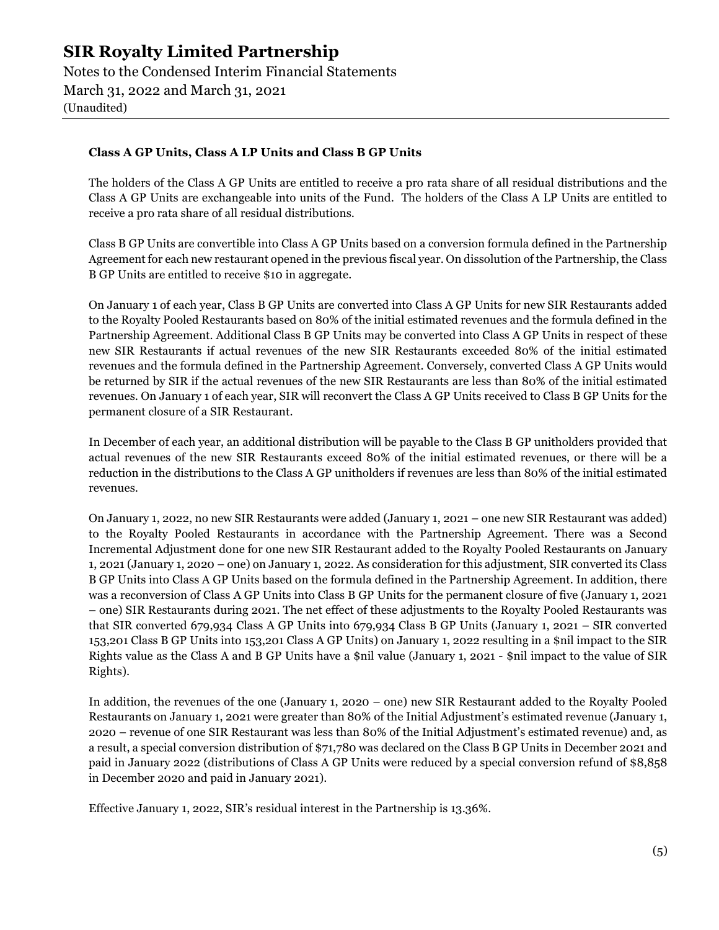Notes to the Condensed Interim Financial Statements March 31, 2022 and March 31, 2021 (Unaudited)

#### Class A GP Units, Class A LP Units and Class B GP Units

The holders of the Class A GP Units are entitled to receive a pro rata share of all residual distributions and the Class A GP Units are exchangeable into units of the Fund. The holders of the Class A LP Units are entitled to receive a pro rata share of all residual distributions.

Class B GP Units are convertible into Class A GP Units based on a conversion formula defined in the Partnership Agreement for each new restaurant opened in the previous fiscal year. On dissolution of the Partnership, the Class B GP Units are entitled to receive \$10 in aggregate.

On January 1 of each year, Class B GP Units are converted into Class A GP Units for new SIR Restaurants added to the Royalty Pooled Restaurants based on 80% of the initial estimated revenues and the formula defined in the Partnership Agreement. Additional Class B GP Units may be converted into Class A GP Units in respect of these new SIR Restaurants if actual revenues of the new SIR Restaurants exceeded 80% of the initial estimated revenues and the formula defined in the Partnership Agreement. Conversely, converted Class A GP Units would be returned by SIR if the actual revenues of the new SIR Restaurants are less than 80% of the initial estimated revenues. On January 1 of each year, SIR will reconvert the Class A GP Units received to Class B GP Units for the permanent closure of a SIR Restaurant.

In December of each year, an additional distribution will be payable to the Class B GP unitholders provided that actual revenues of the new SIR Restaurants exceed 80% of the initial estimated revenues, or there will be a reduction in the distributions to the Class A GP unitholders if revenues are less than 80% of the initial estimated revenues.

On January 1, 2022, no new SIR Restaurants were added (January 1, 2021 – one new SIR Restaurant was added) to the Royalty Pooled Restaurants in accordance with the Partnership Agreement. There was a Second Incremental Adjustment done for one new SIR Restaurant added to the Royalty Pooled Restaurants on January 1, 2021 (January 1, 2020 – one) on January 1, 2022. As consideration for this adjustment, SIR converted its Class B GP Units into Class A GP Units based on the formula defined in the Partnership Agreement. In addition, there was a reconversion of Class A GP Units into Class B GP Units for the permanent closure of five (January 1, 2021 – one) SIR Restaurants during 2021. The net effect of these adjustments to the Royalty Pooled Restaurants was that SIR converted 679,934 Class A GP Units into 679,934 Class B GP Units (January 1, 2021 – SIR converted 153,201 Class B GP Units into 153,201 Class A GP Units) on January 1, 2022 resulting in a \$nil impact to the SIR Rights value as the Class A and B GP Units have a \$nil value (January 1, 2021 - \$nil impact to the value of SIR Rights).

In addition, the revenues of the one (January 1, 2020 – one) new SIR Restaurant added to the Royalty Pooled Restaurants on January 1, 2021 were greater than 80% of the Initial Adjustment's estimated revenue (January 1, 2020 – revenue of one SIR Restaurant was less than 80% of the Initial Adjustment's estimated revenue) and, as a result, a special conversion distribution of \$71,780 was declared on the Class B GP Units in December 2021 and paid in January 2022 (distributions of Class A GP Units were reduced by a special conversion refund of \$8,858 in December 2020 and paid in January 2021).

Effective January 1, 2022, SIR's residual interest in the Partnership is 13.36%.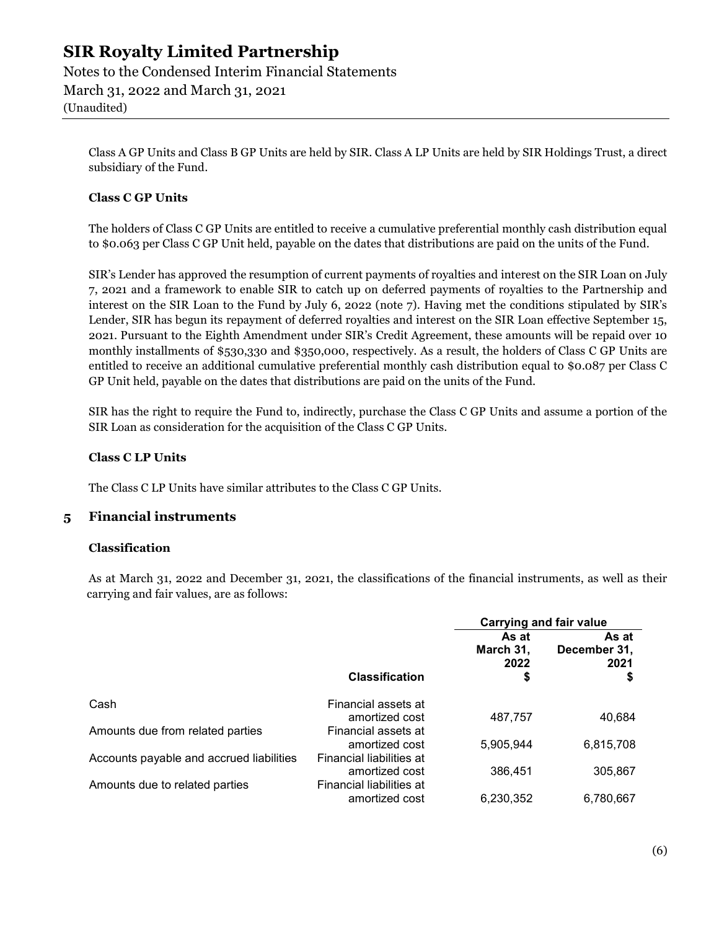Notes to the Condensed Interim Financial Statements March 31, 2022 and March 31, 2021 (Unaudited)

Class A GP Units and Class B GP Units are held by SIR. Class A LP Units are held by SIR Holdings Trust, a direct subsidiary of the Fund.

#### Class C GP Units

The holders of Class C GP Units are entitled to receive a cumulative preferential monthly cash distribution equal to \$0.063 per Class C GP Unit held, payable on the dates that distributions are paid on the units of the Fund.

SIR's Lender has approved the resumption of current payments of royalties and interest on the SIR Loan on July 7, 2021 and a framework to enable SIR to catch up on deferred payments of royalties to the Partnership and interest on the SIR Loan to the Fund by July 6, 2022 (note 7). Having met the conditions stipulated by SIR's Lender, SIR has begun its repayment of deferred royalties and interest on the SIR Loan effective September 15, 2021. Pursuant to the Eighth Amendment under SIR's Credit Agreement, these amounts will be repaid over 10 monthly installments of \$530,330 and \$350,000, respectively. As a result, the holders of Class C GP Units are entitled to receive an additional cumulative preferential monthly cash distribution equal to \$0.087 per Class C GP Unit held, payable on the dates that distributions are paid on the units of the Fund.

SIR has the right to require the Fund to, indirectly, purchase the Class C GP Units and assume a portion of the SIR Loan as consideration for the acquisition of the Class C GP Units.

#### Class C LP Units

The Class C LP Units have similar attributes to the Class C GP Units.

#### 5 Financial instruments

#### Classification

 As at March 31, 2022 and December 31, 2021, the classifications of the financial instruments, as well as their carrying and fair values, are as follows:

|                                          |                          | Carrying and fair value          |                                     |
|------------------------------------------|--------------------------|----------------------------------|-------------------------------------|
|                                          | <b>Classification</b>    | As at<br>March 31,<br>2022<br>\$ | As at<br>December 31,<br>2021<br>\$ |
| Cash                                     | Financial assets at      |                                  |                                     |
|                                          | amortized cost           | 487.757                          | 40,684                              |
| Amounts due from related parties         | Financial assets at      |                                  |                                     |
|                                          | amortized cost           | 5,905,944                        | 6,815,708                           |
| Accounts payable and accrued liabilities | Financial liabilities at |                                  |                                     |
|                                          | amortized cost           | 386,451                          | 305,867                             |
| Amounts due to related parties           | Financial liabilities at |                                  |                                     |
|                                          | amortized cost           | 6.230.352                        | 6,780,667                           |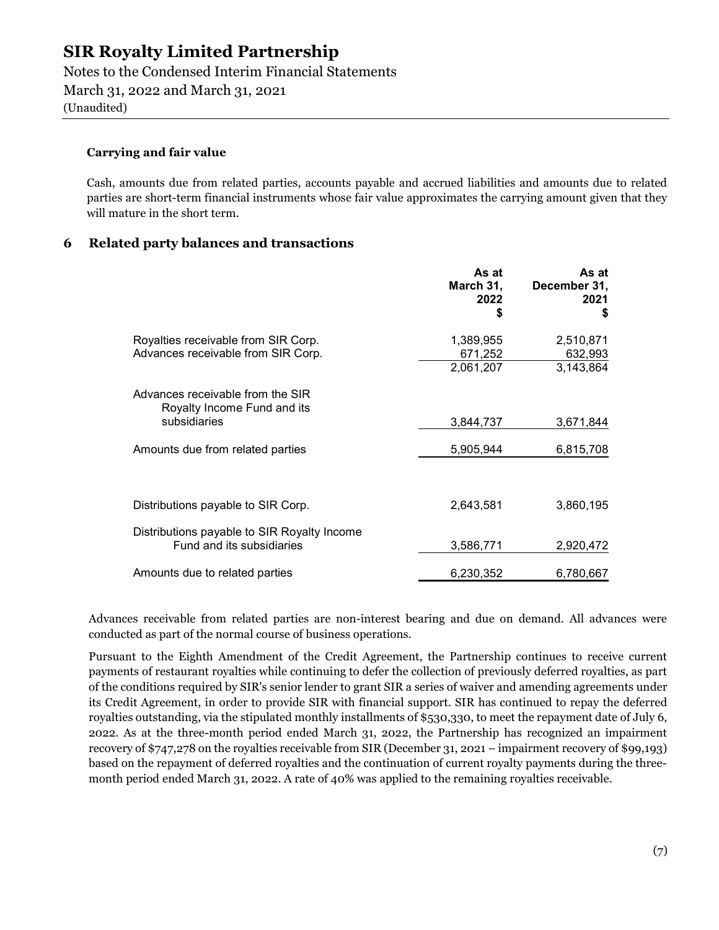Notes to the Condensed Interim Financial Statements March 31, 2022 and March 31, 2021

(Unaudited)

#### Carrying and fair value

Cash, amounts due from related parties, accounts payable and accrued liabilities and amounts due to related parties are short-term financial instruments whose fair value approximates the carrying amount given that they will mature in the short term.

#### 6 Related party balances and transactions

|                                                                                 | As at<br>March 31,<br>2022<br>S   | As at<br>December 31,<br>2021<br>S |
|---------------------------------------------------------------------------------|-----------------------------------|------------------------------------|
| Royalties receivable from SIR Corp.<br>Advances receivable from SIR Corp.       | 1,389,955<br>671,252<br>2,061,207 | 2,510,871<br>632,993<br>3,143,864  |
| Advances receivable from the SIR<br>Royalty Income Fund and its<br>subsidiaries | 3,844,737                         | 3,671,844                          |
| Amounts due from related parties                                                | 5,905,944                         | 6,815,708                          |
| Distributions payable to SIR Corp.                                              | 2,643,581                         | 3,860,195                          |
| Distributions payable to SIR Royalty Income<br>Fund and its subsidiaries        | 3,586,771                         | 2,920,472                          |
| Amounts due to related parties                                                  | 6,230,352                         | 6,780,667                          |

Advances receivable from related parties are non-interest bearing and due on demand. All advances were conducted as part of the normal course of business operations.

Pursuant to the Eighth Amendment of the Credit Agreement, the Partnership continues to receive current payments of restaurant royalties while continuing to defer the collection of previously deferred royalties, as part of the conditions required by SIR's senior lender to grant SIR a series of waiver and amending agreements under its Credit Agreement, in order to provide SIR with financial support. SIR has continued to repay the deferred royalties outstanding, via the stipulated monthly installments of \$530,330, to meet the repayment date of July 6, 2022. As at the three-month period ended March 31, 2022, the Partnership has recognized an impairment recovery of \$747,278 on the royalties receivable from SIR (December 31, 2021 – impairment recovery of \$99,193) based on the repayment of deferred royalties and the continuation of current royalty payments during the threemonth period ended March 31, 2022. A rate of 40% was applied to the remaining royalties receivable.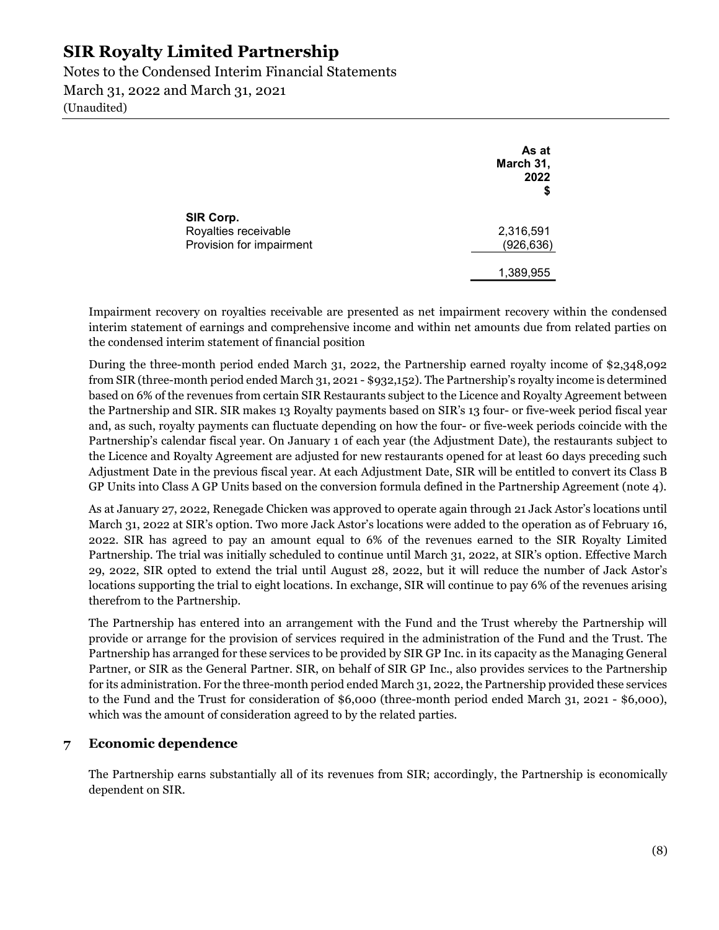Notes to the Condensed Interim Financial Statements March 31, 2022 and March 31, 2021 (Unaudited)

|                                   | As at<br>March 31,<br>2022<br>\$ |
|-----------------------------------|----------------------------------|
| SIR Corp.<br>Royalties receivable | 2,316,591                        |
| Provision for impairment          | (926, 636)<br>1,389,955          |

Impairment recovery on royalties receivable are presented as net impairment recovery within the condensed interim statement of earnings and comprehensive income and within net amounts due from related parties on the condensed interim statement of financial position

During the three-month period ended March 31, 2022, the Partnership earned royalty income of \$2,348,092 from SIR (three-month period ended March 31, 2021 - \$932,152). The Partnership's royalty income is determined based on 6% of the revenues from certain SIR Restaurants subject to the Licence and Royalty Agreement between the Partnership and SIR. SIR makes 13 Royalty payments based on SIR's 13 four- or five-week period fiscal year and, as such, royalty payments can fluctuate depending on how the four- or five-week periods coincide with the Partnership's calendar fiscal year. On January 1 of each year (the Adjustment Date), the restaurants subject to the Licence and Royalty Agreement are adjusted for new restaurants opened for at least 60 days preceding such Adjustment Date in the previous fiscal year. At each Adjustment Date, SIR will be entitled to convert its Class B GP Units into Class A GP Units based on the conversion formula defined in the Partnership Agreement (note 4).

As at January 27, 2022, Renegade Chicken was approved to operate again through 21 Jack Astor's locations until March 31, 2022 at SIR's option. Two more Jack Astor's locations were added to the operation as of February 16, 2022. SIR has agreed to pay an amount equal to 6% of the revenues earned to the SIR Royalty Limited Partnership. The trial was initially scheduled to continue until March 31, 2022, at SIR's option. Effective March 29, 2022, SIR opted to extend the trial until August 28, 2022, but it will reduce the number of Jack Astor's locations supporting the trial to eight locations. In exchange, SIR will continue to pay 6% of the revenues arising therefrom to the Partnership.

The Partnership has entered into an arrangement with the Fund and the Trust whereby the Partnership will provide or arrange for the provision of services required in the administration of the Fund and the Trust. The Partnership has arranged for these services to be provided by SIR GP Inc. in its capacity as the Managing General Partner, or SIR as the General Partner. SIR, on behalf of SIR GP Inc., also provides services to the Partnership for its administration. For the three-month period ended March 31, 2022, the Partnership provided these services to the Fund and the Trust for consideration of \$6,000 (three-month period ended March 31, 2021 - \$6,000), which was the amount of consideration agreed to by the related parties.

#### 7 Economic dependence

The Partnership earns substantially all of its revenues from SIR; accordingly, the Partnership is economically dependent on SIR.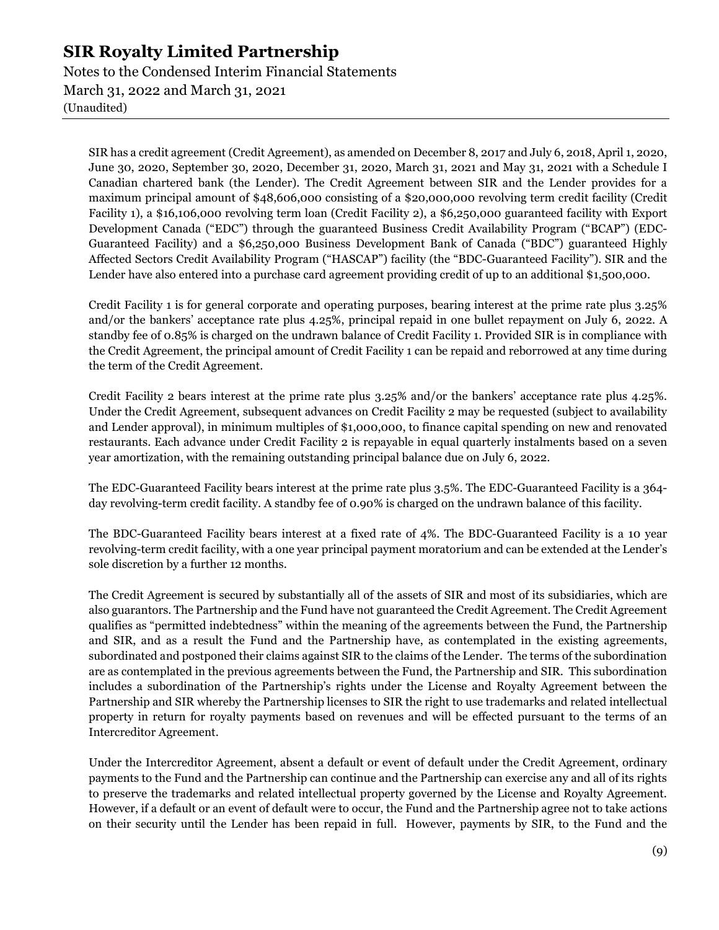Notes to the Condensed Interim Financial Statements March 31, 2022 and March 31, 2021 (Unaudited)

SIR has a credit agreement (Credit Agreement), as amended on December 8, 2017 and July 6, 2018, April 1, 2020, June 30, 2020, September 30, 2020, December 31, 2020, March 31, 2021 and May 31, 2021 with a Schedule I Canadian chartered bank (the Lender). The Credit Agreement between SIR and the Lender provides for a maximum principal amount of \$48,606,000 consisting of a \$20,000,000 revolving term credit facility (Credit Facility 1), a \$16,106,000 revolving term loan (Credit Facility 2), a \$6,250,000 guaranteed facility with Export Development Canada ("EDC") through the guaranteed Business Credit Availability Program ("BCAP") (EDC-Guaranteed Facility) and a \$6,250,000 Business Development Bank of Canada ("BDC") guaranteed Highly Affected Sectors Credit Availability Program ("HASCAP") facility (the "BDC-Guaranteed Facility"). SIR and the Lender have also entered into a purchase card agreement providing credit of up to an additional \$1,500,000.

Credit Facility 1 is for general corporate and operating purposes, bearing interest at the prime rate plus 3.25% and/or the bankers' acceptance rate plus 4.25%, principal repaid in one bullet repayment on July 6, 2022. A standby fee of 0.85% is charged on the undrawn balance of Credit Facility 1. Provided SIR is in compliance with the Credit Agreement, the principal amount of Credit Facility 1 can be repaid and reborrowed at any time during the term of the Credit Agreement.

Credit Facility 2 bears interest at the prime rate plus 3.25% and/or the bankers' acceptance rate plus 4.25%. Under the Credit Agreement, subsequent advances on Credit Facility 2 may be requested (subject to availability and Lender approval), in minimum multiples of \$1,000,000, to finance capital spending on new and renovated restaurants. Each advance under Credit Facility 2 is repayable in equal quarterly instalments based on a seven year amortization, with the remaining outstanding principal balance due on July 6, 2022.

The EDC-Guaranteed Facility bears interest at the prime rate plus 3.5%. The EDC-Guaranteed Facility is a 364 day revolving-term credit facility. A standby fee of 0.90% is charged on the undrawn balance of this facility.

The BDC-Guaranteed Facility bears interest at a fixed rate of 4%. The BDC-Guaranteed Facility is a 10 year revolving-term credit facility, with a one year principal payment moratorium and can be extended at the Lender's sole discretion by a further 12 months.

The Credit Agreement is secured by substantially all of the assets of SIR and most of its subsidiaries, which are also guarantors. The Partnership and the Fund have not guaranteed the Credit Agreement. The Credit Agreement qualifies as "permitted indebtedness" within the meaning of the agreements between the Fund, the Partnership and SIR, and as a result the Fund and the Partnership have, as contemplated in the existing agreements, subordinated and postponed their claims against SIR to the claims of the Lender. The terms of the subordination are as contemplated in the previous agreements between the Fund, the Partnership and SIR. This subordination includes a subordination of the Partnership's rights under the License and Royalty Agreement between the Partnership and SIR whereby the Partnership licenses to SIR the right to use trademarks and related intellectual property in return for royalty payments based on revenues and will be effected pursuant to the terms of an Intercreditor Agreement.

Under the Intercreditor Agreement, absent a default or event of default under the Credit Agreement, ordinary payments to the Fund and the Partnership can continue and the Partnership can exercise any and all of its rights to preserve the trademarks and related intellectual property governed by the License and Royalty Agreement. However, if a default or an event of default were to occur, the Fund and the Partnership agree not to take actions on their security until the Lender has been repaid in full. However, payments by SIR, to the Fund and the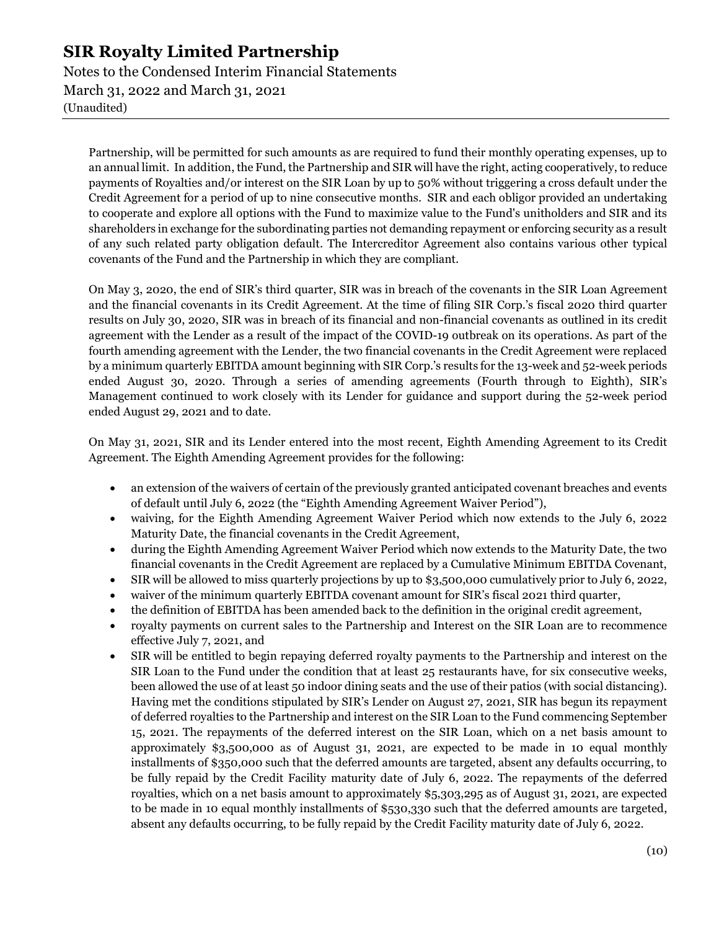Notes to the Condensed Interim Financial Statements March 31, 2022 and March 31, 2021 (Unaudited)

Partnership, will be permitted for such amounts as are required to fund their monthly operating expenses, up to an annual limit. In addition, the Fund, the Partnership and SIR will have the right, acting cooperatively, to reduce payments of Royalties and/or interest on the SIR Loan by up to 50% without triggering a cross default under the Credit Agreement for a period of up to nine consecutive months. SIR and each obligor provided an undertaking to cooperate and explore all options with the Fund to maximize value to the Fund's unitholders and SIR and its shareholders in exchange for the subordinating parties not demanding repayment or enforcing security as a result of any such related party obligation default. The Intercreditor Agreement also contains various other typical covenants of the Fund and the Partnership in which they are compliant.

On May 3, 2020, the end of SIR's third quarter, SIR was in breach of the covenants in the SIR Loan Agreement and the financial covenants in its Credit Agreement. At the time of filing SIR Corp.'s fiscal 2020 third quarter results on July 30, 2020, SIR was in breach of its financial and non-financial covenants as outlined in its credit agreement with the Lender as a result of the impact of the COVID-19 outbreak on its operations. As part of the fourth amending agreement with the Lender, the two financial covenants in the Credit Agreement were replaced by a minimum quarterly EBITDA amount beginning with SIR Corp.'s results for the 13-week and 52-week periods ended August 30, 2020. Through a series of amending agreements (Fourth through to Eighth), SIR's Management continued to work closely with its Lender for guidance and support during the 52-week period ended August 29, 2021 and to date.

On May 31, 2021, SIR and its Lender entered into the most recent, Eighth Amending Agreement to its Credit Agreement. The Eighth Amending Agreement provides for the following:

- an extension of the waivers of certain of the previously granted anticipated covenant breaches and events of default until July 6, 2022 (the "Eighth Amending Agreement Waiver Period"),
- waiving, for the Eighth Amending Agreement Waiver Period which now extends to the July 6, 2022 Maturity Date, the financial covenants in the Credit Agreement,
- during the Eighth Amending Agreement Waiver Period which now extends to the Maturity Date, the two financial covenants in the Credit Agreement are replaced by a Cumulative Minimum EBITDA Covenant,
- SIR will be allowed to miss quarterly projections by up to \$3,500,000 cumulatively prior to July 6, 2022,
- waiver of the minimum quarterly EBITDA covenant amount for SIR's fiscal 2021 third quarter,
- the definition of EBITDA has been amended back to the definition in the original credit agreement,
- royalty payments on current sales to the Partnership and Interest on the SIR Loan are to recommence effective July 7, 2021, and
- SIR will be entitled to begin repaying deferred royalty payments to the Partnership and interest on the SIR Loan to the Fund under the condition that at least 25 restaurants have, for six consecutive weeks, been allowed the use of at least 50 indoor dining seats and the use of their patios (with social distancing). Having met the conditions stipulated by SIR's Lender on August 27, 2021, SIR has begun its repayment of deferred royalties to the Partnership and interest on the SIR Loan to the Fund commencing September 15, 2021. The repayments of the deferred interest on the SIR Loan, which on a net basis amount to approximately \$3,500,000 as of August 31, 2021, are expected to be made in 10 equal monthly installments of \$350,000 such that the deferred amounts are targeted, absent any defaults occurring, to be fully repaid by the Credit Facility maturity date of July 6, 2022. The repayments of the deferred royalties, which on a net basis amount to approximately \$5,303,295 as of August 31, 2021, are expected to be made in 10 equal monthly installments of \$530,330 such that the deferred amounts are targeted, absent any defaults occurring, to be fully repaid by the Credit Facility maturity date of July 6, 2022.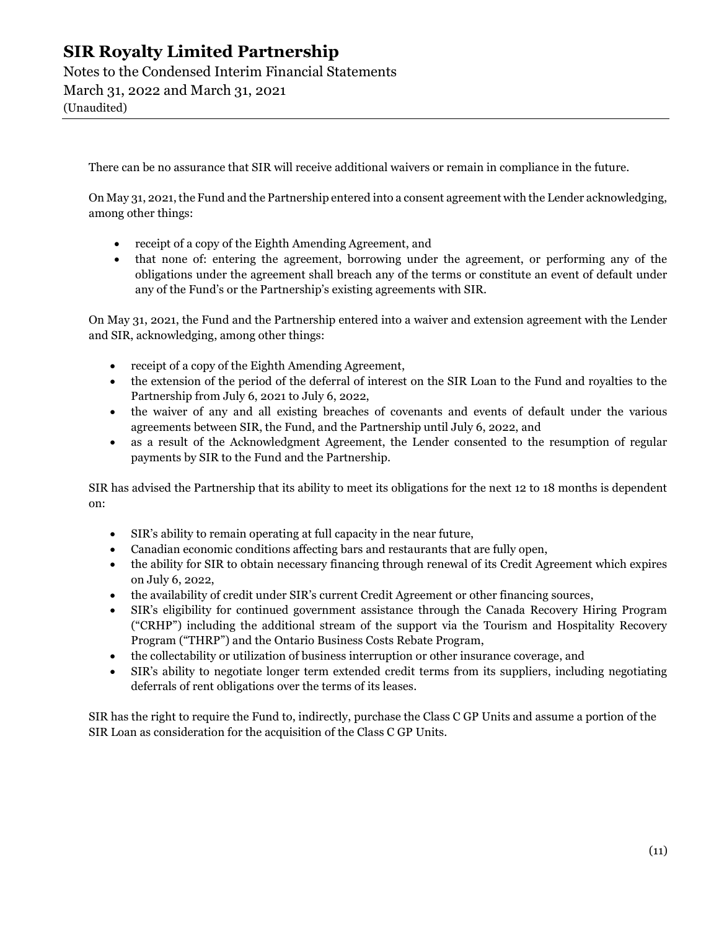Notes to the Condensed Interim Financial Statements March 31, 2022 and March 31, 2021

(Unaudited)

There can be no assurance that SIR will receive additional waivers or remain in compliance in the future.

On May 31, 2021, the Fund and the Partnership entered into a consent agreement with the Lender acknowledging, among other things:

- receipt of a copy of the Eighth Amending Agreement, and
- that none of: entering the agreement, borrowing under the agreement, or performing any of the obligations under the agreement shall breach any of the terms or constitute an event of default under any of the Fund's or the Partnership's existing agreements with SIR.

On May 31, 2021, the Fund and the Partnership entered into a waiver and extension agreement with the Lender and SIR, acknowledging, among other things:

- receipt of a copy of the Eighth Amending Agreement,
- the extension of the period of the deferral of interest on the SIR Loan to the Fund and royalties to the Partnership from July 6, 2021 to July 6, 2022,
- the waiver of any and all existing breaches of covenants and events of default under the various agreements between SIR, the Fund, and the Partnership until July 6, 2022, and
- as a result of the Acknowledgment Agreement, the Lender consented to the resumption of regular payments by SIR to the Fund and the Partnership.

SIR has advised the Partnership that its ability to meet its obligations for the next 12 to 18 months is dependent on:

- SIR's ability to remain operating at full capacity in the near future,
- Canadian economic conditions affecting bars and restaurants that are fully open,
- the ability for SIR to obtain necessary financing through renewal of its Credit Agreement which expires on July 6, 2022,
- the availability of credit under SIR's current Credit Agreement or other financing sources,
- SIR's eligibility for continued government assistance through the Canada Recovery Hiring Program ("CRHP") including the additional stream of the support via the Tourism and Hospitality Recovery Program ("THRP") and the Ontario Business Costs Rebate Program,
- the collectability or utilization of business interruption or other insurance coverage, and
- SIR's ability to negotiate longer term extended credit terms from its suppliers, including negotiating deferrals of rent obligations over the terms of its leases.

SIR has the right to require the Fund to, indirectly, purchase the Class C GP Units and assume a portion of the SIR Loan as consideration for the acquisition of the Class C GP Units.